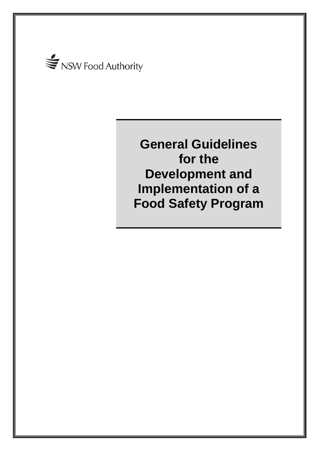

**General Guidelines for the Development and Implementation of a Food Safety Program**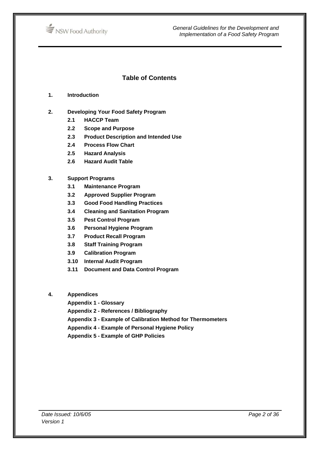

*General Guidelines for the Development and Implementation of a Food Safety Program*

## **Table of Contents**

- **1. Introduction**
- **2. Developing Your Food Safety Program** 
	- **2.1 HACCP Team**
	- **2.2 Scope and Purpose**
	- **2.3 Product Description and Intended Use**
	- **2.4 Process Flow Chart**
	- **2.5 Hazard Analysis**
	- **2.6 Hazard Audit Table**

#### **3. Support Programs**

- **3.1 Maintenance Program**
- **3.2 Approved Supplier Program**
- **3.3 Good Food Handling Practices**
- **3.4 Cleaning and Sanitation Program**
- **3.5 Pest Control Program**
- **3.6 Personal Hygiene Program**
- **3.7 Product Recall Program**
- **3.8 Staff Training Program**
- **3.9 Calibration Program**
- **3.10 Internal Audit Program**
- **3.11 Document and Data Control Program**

#### **4. Appendices**

- **Appendix 1 Glossary**
- **Appendix 2 References / Bibliography**
- **Appendix 3 Example of Calibration Method for Thermometers**
- **Appendix 4 Example of Personal Hygiene Policy**
- **Appendix 5 Example of GHP Policies**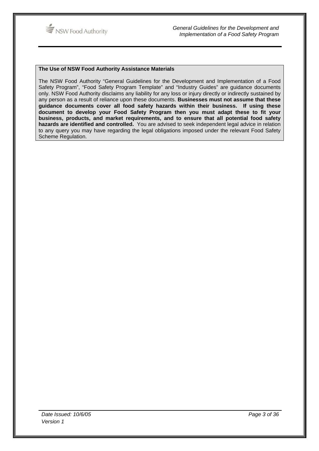

#### **The Use of NSW Food Authority Assistance Materials**

The NSW Food Authority "General Guidelines for the Development and Implementation of a Food Safety Program", "Food Safety Program Template" and "Industry Guides" are guidance documents only. NSW Food Authority disclaims any liability for any loss or injury directly or indirectly sustained by any person as a result of reliance upon these documents. **Businesses must not assume that these guidance documents cover all food safety hazards within their business. If using these document to develop your Food Safety Program then you must adapt these to fit your business, products, and market requirements, and to ensure that all potential food safety hazards are identified and controlled.** You are advised to seek independent legal advice in relation to any query you may have regarding the legal obligations imposed under the relevant Food Safety Scheme Regulation.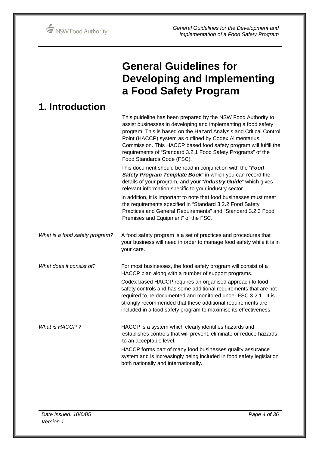

# **General Guidelines for Developing and Implementing a Food Safety Program**

| <b>1. Introduction</b>         |                                                                                                                                                                                                                                                                                                                                                                                                                                    |
|--------------------------------|------------------------------------------------------------------------------------------------------------------------------------------------------------------------------------------------------------------------------------------------------------------------------------------------------------------------------------------------------------------------------------------------------------------------------------|
|                                | This guideline has been prepared by the NSW Food Authority to<br>assist businesses in developing and implementing a food safety<br>program. This is based on the Hazard Analysis and Critical Control<br>Point (HACCP) system as outlined by Codex Alimentarius<br>Commission. This HACCP based food safety program will fulfill the<br>requirements of "Standard 3.2.1 Food Safety Programs" of the<br>Food Standards Code (FSC). |
|                                | This document should be read in conjunction with the "Food<br>Safety Program Template Book" in which you can record the<br>details of your program, and your "Industry Guide" which gives<br>relevant information specific to your industry sector.                                                                                                                                                                                |
|                                | In addition, it is important to note that food businesses must meet<br>the requirements specified in "Standard 3.2.2 Food Safety<br>Practices and General Requirements" and "Standard 3.2.3 Food<br>Premises and Equipment" of the FSC.                                                                                                                                                                                            |
| What is a food safety program? | A food safety program is a set of practices and procedures that<br>your business will need in order to manage food safety while it is in<br>your care.                                                                                                                                                                                                                                                                             |
| What does it consist of?       | For most businesses, the food safety program will consist of a<br>HACCP plan along with a number of support programs.                                                                                                                                                                                                                                                                                                              |
|                                | Codex based HACCP requires an organised approach to food<br>safety controls and has some additional requirements that are not<br>required to be documented and monitored under FSC 3.2.1. It is<br>strongly recommended that these additional requirements are<br>included in a food safety program to maximise its effectiveness.                                                                                                 |
| What is HACCP?                 | HACCP is a system which clearly identifies hazards and<br>establishes controls that will prevent, eliminate or reduce hazards<br>to an acceptable level.                                                                                                                                                                                                                                                                           |
|                                | HACCP forms part of many food businesses quality assurance<br>system and is increasingly being included in food safety legislation<br>both nationally and internationally.                                                                                                                                                                                                                                                         |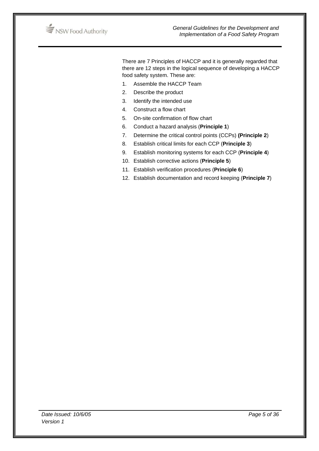

There are 7 Principles of HACCP and it is generally regarded that there are 12 steps in the logical sequence of developing a HACCP food safety system. These are:

- 1. Assemble the HACCP Team
- 2. Describe the product
- 3. Identify the intended use
- 4. Construct a flow chart
- 5. On-site confirmation of flow chart
- 6. Conduct a hazard analysis (**Principle 1**)
- 7. Determine the critical control points (CCPs) **(Principle 2**)
- 8. Establish critical limits for each CCP (**Principle 3**)
- 9. Establish monitoring systems for each CCP (**Principle 4**)
- 10. Establish corrective actions (**Principle 5**)
- 11. Establish verification procedures (**Principle 6**)
- 12. Establish documentation and record keeping (**Principle 7**)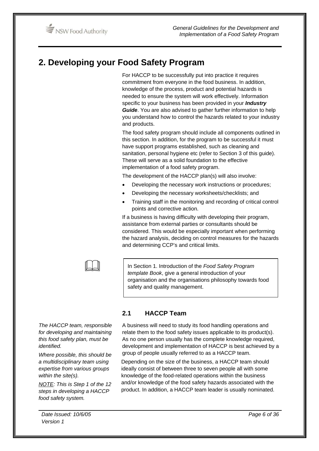# **2. Developing your Food Safety Program**

For HACCP to be successfully put into practice it requires commitment from everyone in the food business. In addition, knowledge of the process, product and potential hazards is needed to ensure the system will work effectively. Information specific to your business has been provided in your *Industry Guide*. You are also advised to gather further information to help you understand how to control the hazards related to your industry and products.

The food safety program should include all components outlined in this section. In addition, for the program to be successful it must have support programs established, such as cleaning and sanitation, personal hygiene etc (refer to Section 3 of this guide). These will serve as a solid foundation to the effective implementation of a food safety program.

The development of the HACCP plan(s) will also involve:

- Developing the necessary work instructions or procedures;
- Developing the necessary worksheets/checklists; and
- Training staff in the monitoring and recording of critical control points and corrective action.

If a business is having difficulty with developing their program, assistance from external parties or consultants should be considered. This would be especially important when performing the hazard analysis, deciding on control measures for the hazards and determining CCP's and critical limits.

In Section 1. Introduction of the *Food Safety Program template Book*, give a general introduction of your organisation and the organisations philosophy towards food safety and quality management.

# **2.1 HACCP Team**

A business will need to study its food handling operations and relate them to the food safety issues applicable to its product(s). As no one person usually has the complete knowledge required, development and implementation of HACCP is best achieved by a group of people usually referred to as a HACCP team.

Depending on the size of the business, a HACCP team should ideally consist of between three to seven people all with some knowledge of the food-related operations within the business and/or knowledge of the food safety hazards associated with the product. In addition, a HACCP team leader is usually nominated.

*The HACCP team, responsible for developing and maintaining this food safety plan, must be identified.* 

 $\Box$ 

*Where possible, this should be a multidisciplinary team using expertise from various groups within the site(s).* 

*NOTE: This is Step 1 of the 12 steps in developing a HACCP food safety system.*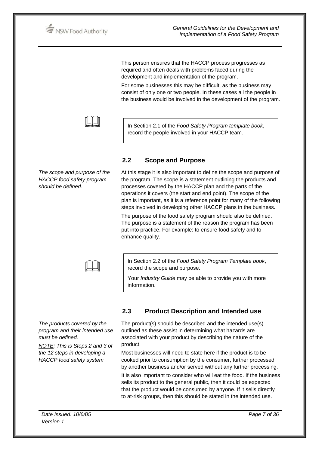NSW Food Authority

This person ensures that the HACCP process progresses as required and often deals with problems faced during the development and implementation of the program.

For some businesses this may be difficult, as the business may consist of only one or two people. In these cases all the people in the business would be involved in the development of the program.



In Section 2.1 of the *Food Safety Program template book*, record the people involved in your HACCP team.

# **2.2 Scope and Purpose**

*The scope and purpose of the HACCP food safety program should be defined.* 



At this stage it is also important to define the scope and purpose of the program. The scope is a statement outlining the products and processes covered by the HACCP plan and the parts of the operations it covers (the start and end point). The scope of the plan is important, as it is a reference point for many of the following steps involved in developing other HACCP plans in the business.

The purpose of the food safety program should also be defined. The purpose is a statement of the reason the program has been put into practice. For example: to ensure food safety and to enhance quality.

In Section 2.2 of the *Food Safety Program Template book*, record the scope and purpose.

Your *Industry Guide* may be able to provide you with more information.

*The products covered by the program and their intended use must be defined.* 

*NOTE: This is Steps 2 and 3 of the 12 steps in developing a HACCP food safety system* 

# **2.3 Product Description and Intended use**

The product(s) should be described and the intended use(s) outlined as these assist in determining what hazards are associated with your product by describing the nature of the product.

Most businesses will need to state here if the product is to be cooked prior to consumption by the consumer, further processed by another business and/or served without any further processing.

It is also important to consider who will eat the food. If the business sells its product to the general public, then it could be expected that the product would be consumed by anyone. If it sells directly to at-risk groups, then this should be stated in the intended use.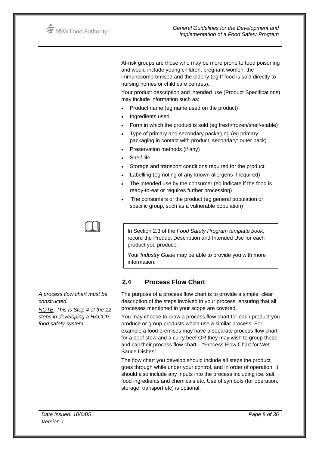

At-risk groups are those who may be more prone to food poisoning and would include young children, pregnant women, the immunocompromised and the elderly (eg If food is sold directly to nursing homes or child care centres).

Your product description and intended use (Product Specifications) may include information such as:

- Product name (eg name used on the product)
- Ingredients used
- Form in which the product is sold (eg fresh/frozen/shelf-stable)
- Type of primary and secondary packaging (eg primary: packaging in contact with product, secondary: outer pack)
- Preservation methods (if any)
- Shelf life
- Storage and transport conditions required for the product
- Labelling (eg noting of any known allergens if required)
- The intended use by the consumer (eq indicate if the food is ready-to-eat or requires further processing)
- The consumers of the product (eg general population or specific group, such as a vulnerable population)



In Section 2.3 of the *Food Safety Program template book*, record the Product Description and Intended Use for each product you produce.

Your *Industry Guide* may be able to provide you with more information.

## **2.4 Process Flow Chart**

The purpose of a process flow chart is to provide a simple, clear description of the steps involved in your process, ensuring that all processes mentioned in your scope are covered.

You may choose to draw a process flow chart for each product you produce or group products which use a similar process. For example a food premises may have a separate process flow chart for a beef stew and a curry beef OR they may wish to group these and call their process flow chart – "Process Flow Chart for Wet Sauce Dishes".

The flow chart you develop should include all steps the product goes through while under your control, and in order of operation. It should also include any inputs into the process including ice, salt, food ingredients and chemicals etc. Use of symbols (for operation, storage, transport etc) is optional.

*A process flow chart must be constructed.* 

*NOTE: This is Step 4 of the 12 steps in developing a HACCP food safety system.*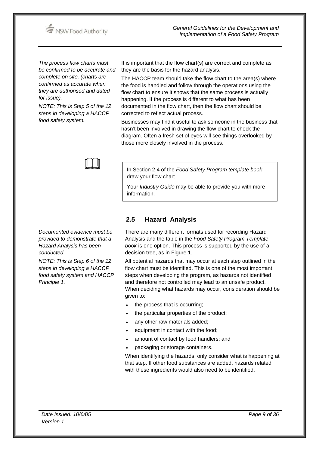

*The process flow charts must be confirmed to be accurate and complete on site. (charts are confirmed as accurate when they are authorised and dated for issue).* 

*NOTE: This is Step 5 of the 12 steps in developing a HACCP food safety system.* 

*Documented evidence must be provided to demonstrate that a Hazard Analysis has been* 

*NOTE: This is Step 6 of the 12 steps in developing a HACCP food safety system and HACCP* 

*conducted.* 

*Principle 1.* 

It is important that the flow chart(s) are correct and complete as they are the basis for the hazard analysis.

The HACCP team should take the flow chart to the area(s) where the food is handled and follow through the operations using the flow chart to ensure it shows that the same process is actually happening. If the process is different to what has been documented in the flow chart, then the flow chart should be corrected to reflect actual process.

Businesses may find it useful to ask someone in the business that hasn't been involved in drawing the flow chart to check the diagram. Often a fresh set of eyes will see things overlooked by those more closely involved in the process.



In Section 2.4 of the *Food Safety Program template book*, draw your flow chart.

Your *Industry Guide* may be able to provide you with more information.

**2.5 Hazard Analysis** 

There are many different formats used for recording Hazard Analysis and the table in the *Food Safety Program Template book* is one option. This process is supported by the use of a decision tree, as in Figure 1.

All potential hazards that may occur at each step outlined in the flow chart must be identified. This is one of the most important steps when developing the program, as hazards not identified and therefore not controlled may lead to an unsafe product. When deciding what hazards may occur, consideration should be given to:

- the process that is occurring;
- the particular properties of the product;
- any other raw materials added;
- equipment in contact with the food;
- amount of contact by food handlers; and
- packaging or storage containers.

When identifying the hazards, only consider what is happening at that step. If other food substances are added, hazards related with these ingredients would also need to be identified.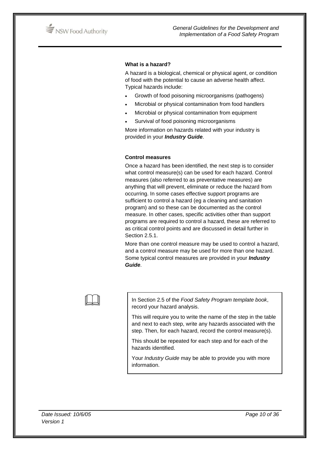

#### **What is a hazard?**

A hazard is a biological, chemical or physical agent, or condition of food with the potential to cause an adverse health affect. Typical hazards include:

- Growth of food poisoning microorganisms (pathogens)
- Microbial or physical contamination from food handlers
- Microbial or physical contamination from equipment
- Survival of food poisoning microorganisms

More information on hazards related with your industry is provided in your *Industry Guide*.

#### **Control measures**

Once a hazard has been identified, the next step is to consider what control measure(s) can be used for each hazard. Control measures (also referred to as preventative measures) are anything that will prevent, eliminate or reduce the hazard from occurring. In some cases effective support programs are sufficient to control a hazard (eg a cleaning and sanitation program) and so these can be documented as the control measure. In other cases, specific activities other than support programs are required to control a hazard, these are referred to as critical control points and are discussed in detail further in Section 2.5.1.

More than one control measure may be used to control a hazard, and a control measure may be used for more than one hazard. Some typical control measures are provided in your *Industry Guide*.

 In Section 2.5 of the *Food Safety Program template book*, record your hazard analysis.

This will require you to write the name of the step in the table and next to each step, write any hazards associated with the step. Then, for each hazard, record the control measure(s).

This should be repeated for each step and for each of the hazards identified.

Your *Industry Guide* may be able to provide you with more information.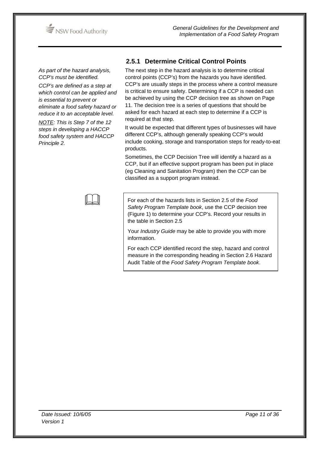

*As part of the hazard analysis, CCP's must be identified.* 

*CCP's are defined as a step at which control can be applied and is essential to prevent or eliminate a food safety hazard or reduce it to an acceptable level.* 

*NOTE: This is Step 7 of the 12 steps in developing a HACCP food safety system and HACCP Principle 2.* 

# **2.5.1 Determine Critical Control Points**

The next step in the hazard analysis is to determine critical control points (CCP's) from the hazards you have identified. CCP's are usually steps in the process where a control measure is critical to ensure safety. Determining if a CCP is needed can be achieved by using the CCP decision tree as shown on Page 11. The decision tree is a series of questions that should be asked for each hazard at each step to determine if a CCP is required at that step.

It would be expected that different types of businesses will have different CCP's, although generally speaking CCP's would include cooking, storage and transportation steps for ready-to-eat products.

Sometimes, the CCP Decision Tree will identify a hazard as a CCP, but if an effective support program has been put in place (eg Cleaning and Sanitation Program) then the CCP can be classified as a support program instead.



 For each of the hazards lists in Section 2.5 of the *Food Safety Program Template book*, use the CCP decision tree (Figure 1) to determine your CCP's. Record your results in the table in Section 2.5

Your *Industry Guide* may be able to provide you with more information.

For each CCP identified record the step, hazard and control measure in the corresponding heading in Section 2.6 Hazard Audit Table of the *Food Safety Program Template book*.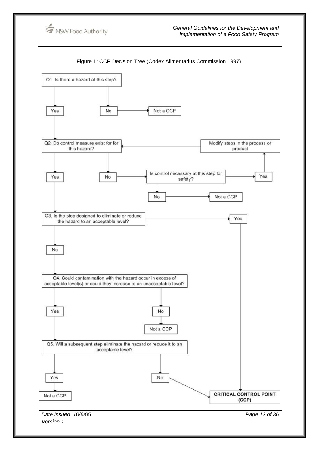

Figure 1: CCP Decision Tree (Codex Alimentarius Commission.1997).

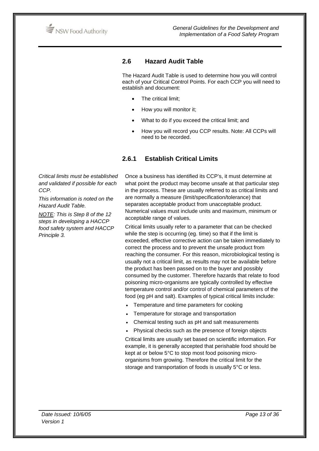

## **2.6 Hazard Audit Table**

The Hazard Audit Table is used to determine how you will control each of your Critical Control Points. For each CCP you will need to establish and document:

- The critical limit:
- How you will monitor it;
- What to do if you exceed the critical limit; and
- How you will record you CCP results. Note: All CCPs will need to be recorded.

## **2.6.1 Establish Critical Limits**

*Critical limits must be established and validated if possible for each CCP.* 

*This information is noted on the Hazard Audit Table.* 

*NOTE: This is Step 8 of the 12 steps in developing a HACCP food safety system and HACCP Principle 3.* 

Once a business has identified its CCP's, it must determine at what point the product may become unsafe at that particular step in the process. These are usually referred to as critical limits and are normally a measure (limit/specification/tolerance) that separates acceptable product from unacceptable product. Numerical values must include units and maximum, minimum or acceptable range of values.

Critical limits usually refer to a parameter that can be checked while the step is occurring (eg. time) so that if the limit is exceeded, effective corrective action can be taken immediately to correct the process and to prevent the unsafe product from reaching the consumer. For this reason, microbiological testing is usually not a critical limit, as results may not be available before the product has been passed on to the buyer and possibly consumed by the customer. Therefore hazards that relate to food poisoning micro-organisms are typically controlled by effective temperature control and/or control of chemical parameters of the food (eg pH and salt). Examples of typical critical limits include:

- Temperature and time parameters for cooking
- Temperature for storage and transportation
- Chemical testing such as pH and salt measurements
- Physical checks such as the presence of foreign objects

Critical limits are usually set based on scientific information. For example, it is generally accepted that perishable food should be kept at or below 5°C to stop most food poisoning microorganisms from growing. Therefore the critical limit for the storage and transportation of foods is usually 5°C or less.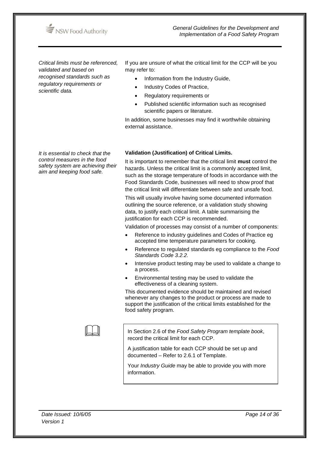

*Critical limits must be referenced, validated and based on recognised standards such as regulatory requirements or scientific data.* 

If you are unsure of what the critical limit for the CCP will be you may refer to:

- Information from the Industry Guide,
- Industry Codes of Practice.
- Regulatory requirements or
- Published scientific information such as recognised scientific papers or literature.

In addition, some businesses may find it worthwhile obtaining external assistance.

*It is essential to check that the control measures in the food safety system are achieving their aim and keeping food safe.*

#### **Validation (Justification) of Critical Limits.**

It is important to remember that the critical limit **must** control the hazards. Unless the critical limit is a commonly accepted limit, such as the storage temperature of foods in accordance with the Food Standards Code, businesses will need to show proof that the critical limit will differentiate between safe and unsafe food.

This will usually involve having some documented information outlining the source reference, or a validation study showing data, to justify each critical limit. A table summarising the justification for each CCP is recommended.

Validation of processes may consist of a number of components:

- Reference to industry guidelines and Codes of Practice eg accepted time temperature parameters for cooking.
- Reference to regulated standards eg compliance to the *Food Standards Code 3.2.2.*
- Intensive product testing may be used to validate a change to a process.
- Environmental testing may be used to validate the effectiveness of a cleaning system.

This documented evidence should be maintained and revised whenever any changes to the product or process are made to support the justification of the critical limits established for the food safety program.

 In Section 2.6 of the *Food Safety Program template book*, record the critical limit for each CCP.

A justification table for each CCP should be set up and documented – Refer to 2.6.1 of Template.

Your *Industry Guide* may be able to provide you with more information.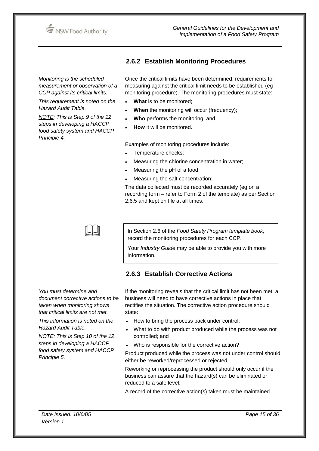

*Monitoring is the scheduled measurement or observation of a CCP against its critical limits.* 

*This requirement is noted on the Hazard Audit Table.* 

*NOTE: This is Step 9 of the 12 steps in developing a HACCP food safety system and HACCP Principle 4.* 

# **2.6.2 Establish Monitoring Procedures**

Once the critical limits have been determined, requirements for measuring against the critical limit needs to be established (eg monitoring procedure). The monitoring procedures must state:

- **What** is to be monitored;
- **When** the monitoring will occur (frequency);
- **Who** performs the monitoring; and
- **How** it will be monitored.

Examples of monitoring procedures include:

- Temperature checks;
- Measuring the chlorine concentration in water;
- Measuring the pH of a food;
- Measuring the salt concentration;

The data collected must be recorded accurately (eg on a recording form – refer to Form 2 of the template) as per Section 2.6.5 and kept on file at all times.



In Section 2.6 of the *Food Safety Program template book*, record the monitoring procedures for each CCP.

Your *Industry Guide* may be able to provide you with more information.

# **2.6.3 Establish Corrective Actions**

*You must determine and document corrective actions to be taken when monitoring shows that critical limits are not met.* 

*This information is noted on the Hazard Audit Table.* 

*NOTE: This is Step 10 of the 12 steps in developing a HACCP food safety system and HACCP Principle 5.* 

If the monitoring reveals that the critical limit has not been met, a business will need to have corrective actions in place that rectifies the situation. The corrective action procedure should state:

- How to bring the process back under control;
- What to do with product produced while the process was not controlled; and
- Who is responsible for the corrective action?

Product produced while the process was not under control should either be reworked/reprocessed or rejected.

Reworking or reprocessing the product should only occur if the business can assure that the hazard(s) can be eliminated or reduced to a safe level.

A record of the corrective action(s) taken must be maintained.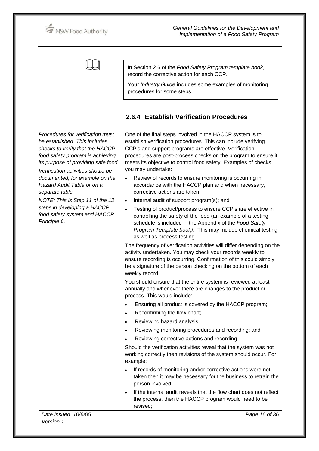NSW Food Authority



In Section 2.6 of the *Food Safety Program template book*, record the corrective action for each CCP.

Your *Industry Guide* includes some examples of monitoring procedures for some steps.

## **2.6.4 Establish Verification Procedures**

*Procedures for verification must be established. This includes checks to verify that the HACCP food safety program is achieving its purpose of providing safe food. Verification activities should be documented, for example on the Hazard Audit Table or on a separate table.* 

*NOTE: This is Step 11 of the 12 steps in developing a HACCP food safety system and HACCP Principle 6.* 

One of the final steps involved in the HACCP system is to establish verification procedures. This can include verifying CCP's and support programs are effective. Verification procedures are post-process checks on the program to ensure it meets its objective to control food safety. Examples of checks you may undertake:

- Review of records to ensure monitoring is occurring in accordance with the HACCP plan and when necessary, corrective actions are taken;
- Internal audit of support program(s); and
- Testing of product/process to ensure CCP's are effective in controlling the safety of the food (an example of a testing schedule is included in the Appendix of the *Food Safety Program Template book)*. This may include chemical testing as well as process testing.

The frequency of verification activities will differ depending on the activity undertaken. You may check your records weekly to ensure recording is occurring. Confirmation of this could simply be a signature of the person checking on the bottom of each weekly record.

You should ensure that the entire system is reviewed at least annually and whenever there are changes to the product or process. This would include:

- Ensuring all product is covered by the HACCP program;
- Reconfirming the flow chart;
- Reviewing hazard analysis
- Reviewing monitoring procedures and recording; and
- Reviewing corrective actions and recording.

Should the verification activities reveal that the system was not working correctly then revisions of the system should occur. For example:

- If records of monitoring and/or corrective actions were not taken then it may be necessary for the business to retrain the person involved;
- If the internal audit reveals that the flow chart does not reflect the process, then the HACCP program would need to be revised;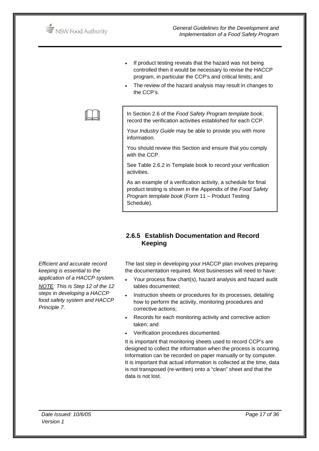

 $\Box$ 

- If product testing reveals that the hazard was not being controlled then it would be necessary to revise the HACCP program, in particular the CCP's and critical limits; and
- The review of the hazard analysis may result in changes to the CCP's.

In Section 2.6 of the *Food Safety Program template book*, record the verification activities established for each CCP.

Your *Industry Guide* may be able to provide you with more information.

You should review this Section and ensure that you comply with the CCP.

See Table 2.6.2 in Template book to record your verification activities.

As an example of a verification activity, a schedule for final product testing is shown in the Appendix of the *Food Safety Program template book* (Form 11 – Product Testing Schedule).

# **2.6.5 Establish Documentation and Record Keeping**

The last step in developing your HACCP plan involves preparing the documentation required. Most businesses will need to have:

- Your process flow chart(s), hazard analysis and hazard audit tables documented;
- Instruction sheets or procedures for its processes, detailing how to perform the activity, monitoring procedures and corrective actions;
- Records for each monitoring activity and corrective action taken; and
- Verification procedures documented.

It is important that monitoring sheets used to record CCP's are designed to collect the information when the process is occurring. Information can be recorded on paper manually or by computer. It is important that actual information is collected at the time, data is not transposed (re-written) onto a "clean" sheet and that the data is not lost.

*Efficient and accurate record keeping is essential to the application of a HACCP system.* 

*NOTE: This is Step 12 of the 12 steps in developing a HACCP food safety system and HACCP Principle 7.*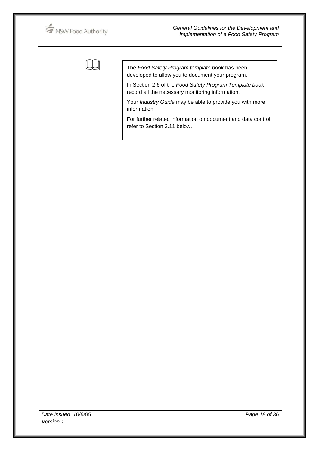

 The *Food Safety Program template book* has been developed to allow you to document your program.

In Section 2.6 of the *Food Safety Program Template book*  record all the necessary monitoring information.

Your *Industry Guide* may be able to provide you with more information.

For further related information on document and data control refer to Section 3.11 below.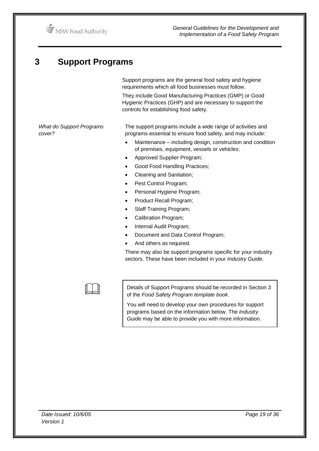# **3 Support Programs**

Support programs are the general food safety and hygiene requirements which all food businesses must follow.

They include Good Manufacturing Practices (GMP) or Good Hygienic Practices (GHP) and are necessary to support the controls for establishing food safety.

*What do Support Programs cover?* 

The support programs include a wide range of activities and programs essential to ensure food safety, and may include:

- Maintenance including design, construction and condition of premises, equipment, vessels or vehicles;
- Approved Supplier Program;
- Good Food Handling Practices;
- Cleaning and Sanitation;
- Pest Control Program;
- Personal Hygiene Program;
- Product Recall Program;
- Staff Training Program;
- Calibration Program;
- Internal Audit Program;
- Document and Data Control Program;
- And others as required.

There may also be support programs specific for your industry sectors. These have been included in your *Industry Guide*.



 Details of Support Programs should be recorded in Section 3 of the *Food Safety Program template book*.

You will need to develop your own procedures for support programs based on the information below. The *Industry Guide* may be able to provide you with more information.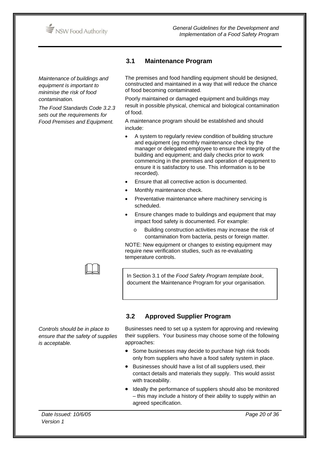

*Maintenance of buildings and equipment is important to minimise the risk of food contamination.* 

*The Food Standards Code 3.2.3 sets out the requirements for Food Premises and Equipment.* 

# **3.1 Maintenance Program**

The premises and food handling equipment should be designed, constructed and maintained in a way that will reduce the chance of food becoming contaminated.

Poorly maintained or damaged equipment and buildings may result in possible physical, chemical and biological contamination of food.

A maintenance program should be established and should include:

- A system to regularly review condition of building structure and equipment (eg monthly maintenance check by the manager or delegated employee to ensure the integrity of the building and equipment; and daily checks prior to work commencing in the premises and operation of equipment to ensure it is satisfactory to use. This information is to be recorded).
- Ensure that all corrective action is documented.
- Monthly maintenance check.
- Preventative maintenance where machinery servicing is scheduled.
- Ensure changes made to buildings and equipment that may impact food safety is documented. For example:
	- o Building construction activities may increase the risk of contamination from bacteria, pests or foreign matter.

NOTE: New equipment or changes to existing equipment may require new verification studies, such as re-evaluating temperature controls.

In Section 3.1 of the *Food Safety Program template book*, document the Maintenance Program for your organisation.

# **3.2 Approved Supplier Program**

*Controls should be in place to ensure that the safety of supplies is acceptable.* 

 $\Box$ 

Businesses need to set up a system for approving and reviewing their suppliers. Your business may choose some of the following approaches:

- Some businesses may decide to purchase high risk foods only from suppliers who have a food safety system in place.
- Businesses should have a list of all suppliers used, their contact details and materials they supply. This would assist with traceability.
- Ideally the performance of suppliers should also be monitored – this may include a history of their ability to supply within an agreed specification.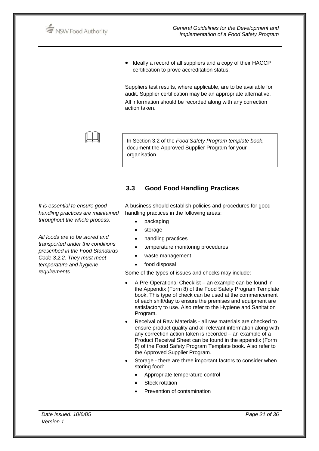

*General Guidelines for the Development and Implementation of a Food Safety Program*

• Ideally a record of all suppliers and a copy of their HACCP certification to prove accreditation status.

Suppliers test results, where applicable, are to be available for audit. Supplier certification may be an appropriate alternative. All information should be recorded along with any correction action taken.



In Section 3.2 of the *Food Safety Program template book*, document the Approved Supplier Program for your organisation.

# **3.3 Good Food Handling Practices**

*It is essential to ensure good handling practices are maintained throughout the whole process.* 

*All foods are to be stored and transported under the conditions prescribed in the Food Standards Code 3.2.2. They must meet temperature and hygiene requirements.* 

A business should establish policies and procedures for good handling practices in the following areas:

- packaging
- **storage**
- handling practices
- temperature monitoring procedures
- waste management
- food disposal

Some of the types of issues and checks may include:

- A Pre-Operational Checklist an example can be found in the Appendix (Form 8) of the Food Safety Program Template book. This type of check can be used at the commencement of each shift/day to ensure the premises and equipment are satisfactory to use. Also refer to the Hygiene and Sanitation Program.
- Receival of Raw Materials all raw materials are checked to ensure product quality and all relevant information along with any correction action taken is recorded – an example of a Product Receival Sheet can be found in the appendix (Form 5) of the Food Safety Program Template book. Also refer to the Approved Supplier Program.
- Storage there are three important factors to consider when storing food:
	- Appropriate temperature control
	- Stock rotation
	- Prevention of contamination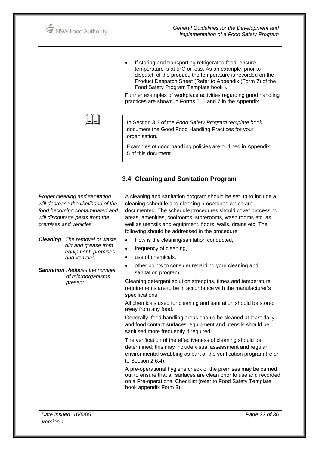

If storing and transporting refrigerated food, ensure temperature is at 5°C or less. As an example, prior to dispatch of the product, the temperature is recorded on the Product Despatch Sheet (Refer to Appendix (Form 7) of the Food Safety Program Template book ).

Further examples of workplace activities regarding good handling practices are shown in Forms 5, 6 and 7 in the Appendix.

In Section 3.3 of the *Food Safety Program template book*, document the Good Food Handling Practices for your organisation.

Examples of good handling policies are outlined in Appendix 5 of this document.

## **3.4 Cleaning and Sanitation Program**

*Proper cleaning and sanitation will decrease the likelihood of the food becoming contaminated and will discourage pests from the premises and vehicles.* 

 $\Box$ 

*Cleaning The removal of waste, dirt and grease from equipment, premises and vehicles.* 

*Sanitation Reduces the number of microorganisms present.* 

A cleaning and sanitation program should be set up to include a cleaning schedule and cleaning procedures which are documented. The schedule procedures should cover processing areas, amenities, coolrooms, storerooms, wash rooms etc. as well as utensils and equipment, floors, walls, drains etc. The following should be addressed in the procedure:

- How is the cleaning/sanitation conducted,
- frequency of cleaning,
- use of chemicals,
- other points to consider regarding your cleaning and sanitation program.

Cleaning detergent solution strengths, times and temperature requirements are to be in accordance with the manufacturer's specifications.

All chemicals used for cleaning and sanitation should be stored away from any food.

Generally, food handling areas should be cleaned at least daily and food contact surfaces, equipment and utensils should be sanitised more frequently if required.

The verification of the effectiveness of cleaning should be determined; this may include visual assessment and regular environmental swabbing as part of the verification program (refer to Section 2.6.4).

A pre-operational hygiene check of the premises may be carried out to ensure that all surfaces are clean prior to use and recorded on a Pre-operational Checklist (refer to Food Safety Template book appendix Form 8).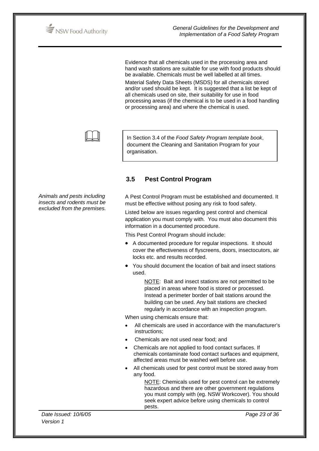

Evidence that all chemicals used in the processing area and hand wash stations are suitable for use with food products should be available. Chemicals must be well labelled at all times. Material Safety Data Sheets (MSDS) for all chemicals stored and/or used should be kept. It is suggested that a list be kept of all chemicals used on site, their suitability for use in food processing areas (if the chemical is to be used in a food handling or processing area) and where the chemical is used.



In Section 3.4 of the *Food Safety Program template book*, document the Cleaning and Sanitation Program for your organisation.

# **3.5 Pest Control Program**

A Pest Control Program must be established and documented. It must be effective without posing any risk to food safety.

Listed below are issues regarding pest control and chemical application you must comply with. You must also document this information in a documented procedure.

This Pest Control Program should include:

- A documented procedure for regular inspections. It should cover the effectiveness of flyscreens, doors, insectocutors, air locks etc. and results recorded.
- You should document the location of bait and insect stations used.

 NOTE: Bait and insect stations are not permitted to be placed in areas where food is stored or processed. Instead a perimeter border of bait stations around the building can be used. Any bait stations are checked regularly in accordance with an inspection program.

When using chemicals ensure that:

- All chemicals are used in accordance with the manufacturer's instructions;
- Chemicals are not used near food; and
- Chemicals are not applied to food contact surfaces. If chemicals contaminate food contact surfaces and equipment, affected areas must be washed well before use.
- All chemicals used for pest control must be stored away from any food.

NOTE: Chemicals used for pest control can be extremely hazardous and there are other government regulations you must comply with (eg. NSW Workcover). You should seek expert advice before using chemicals to control pests.

*Animals and pests including insects and rodents must be excluded from the premises.* 

*Date Issued: 10/6/05 Version 1*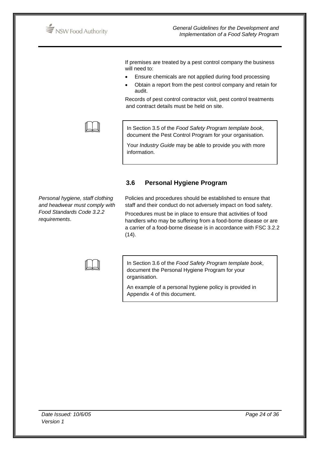NSW Food Authority

If premises are treated by a pest control company the business will need to:

- Ensure chemicals are not applied during food processing
- Obtain a report from the pest control company and retain for audit.

Records of pest control contractor visit, pest control treatments and contract details must be held on site.



In Section 3.5 of the *Food Safety Program template book*, document the Pest Control Program for your organisation.

Your *Industry Guide* may be able to provide you with more information.

**3.6 Personal Hygiene Program**

## *Personal hygiene, staff clothing and headwear must comply with Food Standards Code 3.2.2 requirements*.

Policies and procedures should be established to ensure that staff and their conduct do not adversely impact on food safety. Procedures must be in place to ensure that activities of food handlers who may be suffering from a food-borne disease or are a carrier of a food-borne disease is in accordance with FSC 3.2.2  $(14).$ 



In Section 3.6 of the *Food Safety Program template book*, document the Personal Hygiene Program for your organisation.

An example of a personal hygiene policy is provided in Appendix 4 of this document.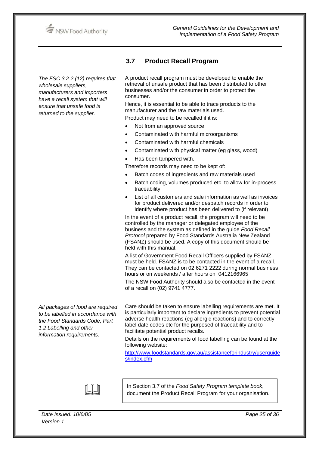

*The FSC 3.2.2 (12) requires that wholesale suppliers, manufacturers and importers have a recall system that will ensure that unsafe food is returned to the supplier.* 

**3.7 Product Recall Program** 

A product recall program must be developed to enable the retrieval of unsafe product that has been distributed to other businesses and/or the consumer in order to protect the consumer.

Hence, it is essential to be able to trace products to the manufacturer and the raw materials used.

Product may need to be recalled if it is:

- Not from an approved source
- Contaminated with harmful microorganisms
- Contaminated with harmful chemicals
- Contaminated with physical matter (eg glass, wood)
- Has been tampered with.
- Therefore records may need to be kept of:
- Batch codes of ingredients and raw materials used
- Batch coding, volumes produced etc to allow for in-process traceability
- List of all customers and sale information as well as invoices for product delivered and/or despatch records in order to identify where product has been delivered to (if relevant)

In the event of a product recall, the program will need to be controlled by the manager or delegated employee of the business and the system as defined in the guide *Food Recall Protocol* prepared by Food Standards Australia New Zealand (FSANZ) should be used. A copy of this document should be held with this manual.

A list of Government Food Recall Officers supplied by FSANZ must be held. FSANZ is to be contacted in the event of a recall. They can be contacted on 02 6271 2222 during normal business hours or on weekends / after hours on 0412166965

The NSW Food Authority should also be contacted in the event of a recall on (02) 9741 4777.

*All packages of food are required to be labelled in accordance with the Food Standards Code, Part 1.2 Labelling and other information requirements.*

Care should be taken to ensure labelling requirements are met. It is particularly important to declare ingredients to prevent potential adverse health reactions (eg allergic reactions) and to correctly label date codes etc for the purposed of traceability and to facilitate potential product recalls.

Details on the requirements of food labelling can be found at the following website:

http://www.foodstandards.gov.au/assistanceforindustry/userguide s/index.cfm



In Section 3.7 of the *Food Safety Program template book*,<br>document the Product Recall Program for your organisation.

*Date Issued: 10/6/05 Version 1*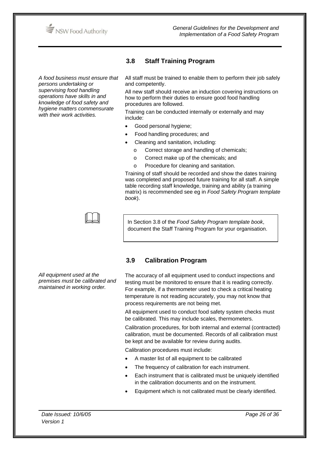

*A food business must ensure that persons undertaking or supervising food handling operations have skills in and knowledge of food safety and hygiene matters commensurate with their work activities.* 

# **3.8 Staff Training Program**

All staff must be trained to enable them to perform their job safely and competently.

All new staff should receive an induction covering instructions on how to perform their duties to ensure good food handling procedures are followed.

Training can be conducted internally or externally and may include:

- Good personal hygiene;
- Food handling procedures; and
- Cleaning and sanitation, including:
	- o Correct storage and handling of chemicals;
	- o Correct make up of the chemicals; and
	- o Procedure for cleaning and sanitation.

Training of staff should be recorded and show the dates training was completed and proposed future training for all staff. A simple table recording staff knowledge, training and ability (a training matrix) is recommended see eg in *Food Safety Program template book*).

 $\Box$ 

In Section 3.8 of the *Food Safety Program template book*, document the Staff Training Program for your organisation.

*All equipment used at the premises must be calibrated and maintained in working order.* 

# **3.9 Calibration Program**

The accuracy of all equipment used to conduct inspections and testing must be monitored to ensure that it is reading correctly. For example, if a thermometer used to check a critical heating temperature is not reading accurately, you may not know that process requirements are not being met.

All equipment used to conduct food safety system checks must be calibrated. This may include scales, thermometers.

Calibration procedures, for both internal and external (contracted) calibration, must be documented. Records of all calibration must be kept and be available for review during audits.

Calibration procedures must include:

- A master list of all equipment to be calibrated
- The frequency of calibration for each instrument.
- Each instrument that is calibrated must be uniquely identified in the calibration documents and on the instrument.
- Equipment which is not calibrated must be clearly identified.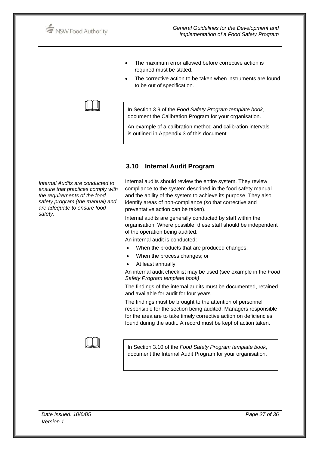

- The maximum error allowed before corrective action is required must be stated.
- The corrective action to be taken when instruments are found to be out of specification.

In Section 3.9 of the *Food Safety Program template book*, document the Calibration Program for your organisation.

An example of a calibration method and calibration intervals is outlined in Appendix 3 of this document.

## **3.10 Internal Audit Program**

*Internal Audits are conducted to ensure that practices comply with the requirements of the food safety program (the manual) and are adequate to ensure food safety.* 

 $\Box$ 

Internal audits should review the entire system. They review compliance to the system described in the food safety manual and the ability of the system to achieve its purpose. They also identify areas of non-compliance (so that corrective and preventative action can be taken).

Internal audits are generally conducted by staff within the organisation. Where possible, these staff should be independent of the operation being audited.

An internal audit is conducted:

- When the products that are produced changes;
- When the process changes; or
- At least annually

An internal audit checklist may be used (see example in the *Food Safety Program template book)*

The findings of the internal audits must be documented, retained and available for audit for four years.

The findings must be brought to the attention of personnel responsible for the section being audited. Managers responsible for the area are to take timely corrective action on deficiencies found during the audit. A record must be kept of action taken.

In Section 3.10 of the *Food Safety Program template book*, document the Internal Audit Program for your organisation.

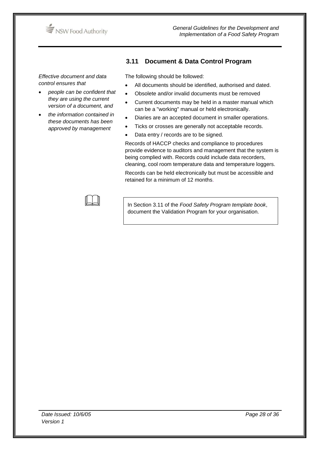

**3.11 Document & Data Control Program** 

*Effective document and data control ensures that* 

- *people can be confident that they are using the current version of a document, and*
- *the information contained in these documents has been approved by management*

The following should be followed:

- All documents should be identified, authorised and dated.
- Obsolete and/or invalid documents must be removed
- Current documents may be held in a master manual which can be a "working" manual or held electronically.
- Diaries are an accepted document in smaller operations.
- Ticks or crosses are generally not acceptable records.
- Data entry / records are to be signed.

Records of HACCP checks and compliance to procedures provide evidence to auditors and management that the system is being complied with. Records could include data recorders, cleaning, cool room temperature data and temperature loggers.

Records can be held electronically but must be accessible and retained for a minimum of 12 months.

 In Section 3.11 of the *Food Safety Program template book*, document the Validation Program for your organisation.

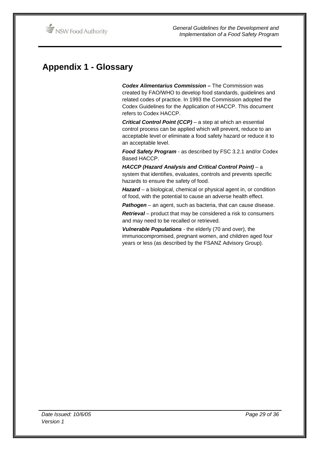# **Appendix 1 - Glossary**

*Codex Alimentarius Commission –* The Commission was created by FAO/WHO to develop food standards, guidelines and related codes of practice. In 1993 the Commission adopted the Codex Guidelines for the Application of HACCP. This document refers to Codex HACCP.

*Critical Control Point (CCP)* – a step at which an essential control process can be applied which will prevent, reduce to an acceptable level or eliminate a food safety hazard or reduce it to an acceptable level.

*Food Safety Program* - as described by FSC 3.2.1 and/or Codex Based HACCP.

HACCP (Hazard Analysis and Critical Control Point) - a system that identifies, evaluates, controls and prevents specific hazards to ensure the safety of food.

Hazard - a biological, chemical or physical agent in, or condition of food, with the potential to cause an adverse health effect.

*Pathogen* – an agent, such as bacteria, that can cause disease.

*Retrieval* – product that may be considered a risk to consumers and may need to be recalled or retrieved.

*Vulnerable Populations -* the elderly (70 and over), the immunocompromised, pregnant women, and children aged four years or less (as described by the FSANZ Advisory Group).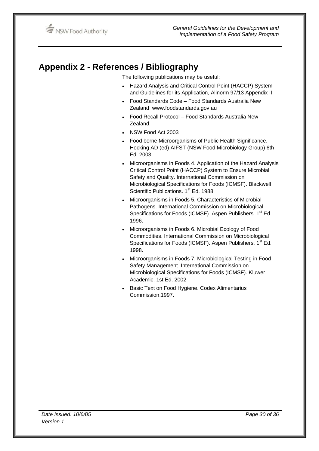# **Appendix 2 - References / Bibliography**

The following publications may be useful:

- Hazard Analysis and Critical Control Point (HACCP) System and Guidelines for its Application, Alinorm 97/13 Appendix II
- Food Standards Code Food Standards Australia New Zealand www.foodstandards.gov.au
- Food Recall Protocol Food Standards Australia New Zealand.
- NSW Food Act 2003
- Food borne Microorganisms of Public Health Significance. Hocking AD (ed) AIFST (NSW Food Microbiology Group) 6th Ed. 2003
- Microorganisms in Foods 4. Application of the Hazard Analysis Critical Control Point (HACCP) System to Ensure Microbial Safety and Quality. International Commission on Microbiological Specifications for Foods (ICMSF). Blackwell Scientific Publications. 1<sup>st</sup> Ed. 1988.
- Microorganisms in Foods 5. Characteristics of Microbial Pathogens. International Commission on Microbiological Specifications for Foods (ICMSF). Aspen Publishers. 1<sup>st</sup> Ed. 1996.
- Microorganisms in Foods 6. Microbial Ecology of Food Commodities. International Commission on Microbiological Specifications for Foods (ICMSF). Aspen Publishers. 1<sup>st</sup> Ed. 1998.
- Microorganisms in Foods 7. Microbiological Testing in Food Safety Management. International Commission on Microbiological Specifications for Foods (ICMSF). Kluwer Academic. 1st Ed. 2002
- Basic Text on Food Hygiene. Codex Alimentarius Commission.1997.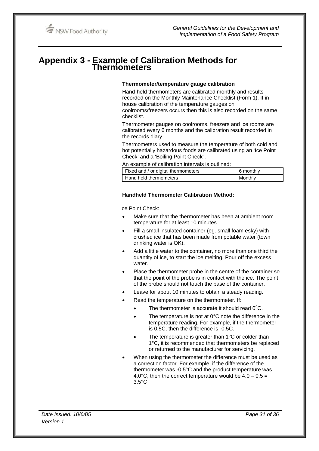# **Appendix 3 - Example of Calibration Methods for Thermometers**

#### **Thermometer/temperature gauge calibration**

Hand-held thermometers are calibrated monthly and results recorded on the Monthly Maintenance Checklist (Form 1). If inhouse calibration of the temperature gauges on coolrooms/freezers occurs then this is also recorded on the same

checklist. Thermometer gauges on coolrooms, freezers and ice rooms are calibrated every 6 months and the calibration result recorded in

Thermometers used to measure the temperature of both cold and hot potentially hazardous foods are calibrated using an 'Ice Point Check' and a 'Boiling Point Check".

An example of calibration intervals is outlined:

| Fixed and / or digital thermometers | 6 monthly |
|-------------------------------------|-----------|
| Hand held thermometers              | Monthly   |

#### **Handheld Thermometer Calibration Method:**

Ice Point Check:

the records diary.

- Make sure that the thermometer has been at ambient room temperature for at least 10 minutes.
- Fill a small insulated container (eg. small foam esky) with crushed ice that has been made from potable water (town drinking water is OK).
- Add a little water to the container, no more than one third the quantity of ice, to start the ice melting. Pour off the excess water.
- Place the thermometer probe in the centre of the container so that the point of the probe is in contact with the ice. The point of the probe should not touch the base of the container.
- Leave for about 10 minutes to obtain a steady reading.
- Read the temperature on the thermometer. If:
	- The thermometer is accurate it should read  $0^{\circ}$ C.
	- The temperature is not at 0°C note the difference in the temperature reading. For example, if the thermometer is 0.5C, then the difference is -0.5C.
	- The temperature is greater than 1°C or colder than -1°C, it is recommended that thermometers be replaced or returned to the manufacturer for servicing.
- When using the thermometer the difference must be used as a correction factor. For example, if the difference of the thermometer was -0.5°C and the product temperature was 4.0 $^{\circ}$ C, then the correct temperature would be 4.0 – 0.5 = 3.5°C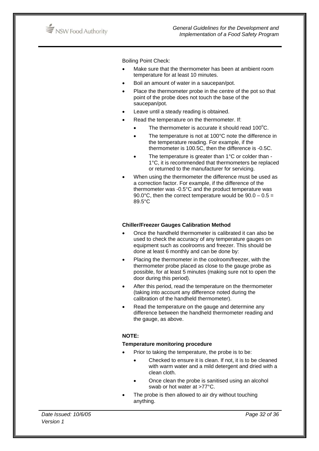

Boiling Point Check:

- Make sure that the thermometer has been at ambient room temperature for at least 10 minutes.
- Boil an amount of water in a saucepan/pot.
- Place the thermometer probe in the centre of the pot so that point of the probe does not touch the base of the saucepan/pot.
- Leave until a steady reading is obtained.
	- Read the temperature on the thermometer. If:
		- The thermometer is accurate it should read  $100^{\circ}$ C.
		- The temperature is not at 100°C note the difference in the temperature reading. For example, if the thermometer is 100.5C, then the difference is -0.5C.
		- The temperature is greater than 1°C or colder than -1°C, it is recommended that thermometers be replaced or returned to the manufacturer for servicing.
- When using the thermometer the difference must be used as a correction factor. For example, if the difference of the thermometer was -0.5°C and the product temperature was 90.0°C, then the correct temperature would be  $90.0 - 0.5 =$ 89.5°C

#### **Chiller/Freezer Gauges Calibration Method**

- Once the handheld thermometer is calibrated it can also be used to check the accuracy of any temperature gauges on equipment such as coolrooms and freezer. This should be done at least 6 monthly and can be done by:
- Placing the thermometer in the coolroom/freezer, with the thermometer probe placed as close to the gauge probe as possible, for at least 5 minutes (making sure not to open the door during this period).
- After this period, read the temperature on the thermometer (taking into account any difference noted during the calibration of the handheld thermometer).
- Read the temperature on the gauge and determine any difference between the handheld thermometer reading and the gauge, as above.

#### **NOTE:**

#### **Temperature monitoring procedure**

- Prior to taking the temperature, the probe is to be:
	- Checked to ensure it is clean. If not, it is to be cleaned with warm water and a mild detergent and dried with a clean cloth.
	- Once clean the probe is sanitised using an alcohol swab or hot water at >77°C.
- The probe is then allowed to air dry without touching anything.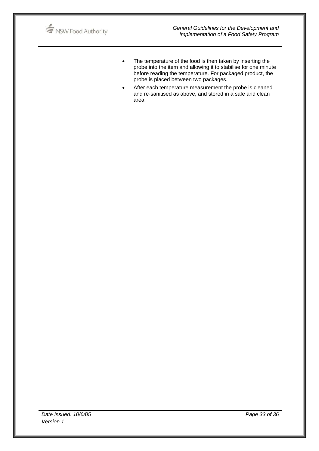

- The temperature of the food is then taken by inserting the probe into the item and allowing it to stabilise for one minute before reading the temperature. For packaged product, the probe is placed between two packages.
- After each temperature measurement the probe is cleaned and re-sanitised as above, and stored in a safe and clean area.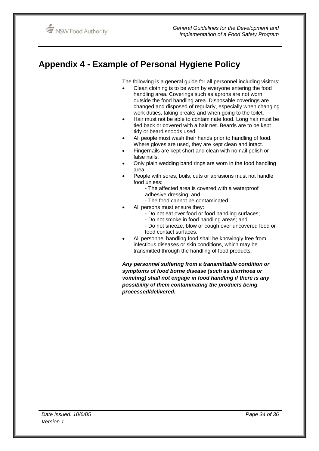# **Appendix 4 - Example of Personal Hygiene Policy**

The following is a general guide for all personnel including visitors:

- Clean clothing is to be worn by everyone entering the food handling area. Coverings such as aprons are not worn outside the food handling area. Disposable coverings are changed and disposed of regularly, especially when changing work duties, taking breaks and when going to the toilet.
- Hair must not be able to contaminate food. Long hair must be tied back or covered with a hair net. Beards are to be kept tidy or beard snoods used.
- All people must wash their hands prior to handling of food. Where gloves are used, they are kept clean and intact.
- Fingernails are kept short and clean with no nail polish or false nails.
- Only plain wedding band rings are worn in the food handling area.
- People with sores, boils, cuts or abrasions must not handle food unless:
	- The affected area is covered with a waterproof adhesive dressing; and
	- The food cannot be contaminated.
- All persons must ensure they:
	- Do not eat over food or food handling surfaces;
	- Do not smoke in food handling areas; and
	- Do not sneeze, blow or cough over uncovered food or food contact surfaces.
- All personnel handling food shall be knowingly free from infectious diseases or skin conditions, which may be transmitted through the handling of food products.

*Any personnel suffering from a transmittable condition or symptoms of food borne disease (such as diarrhoea or vomiting) shall not engage in food handling if there is any possibility of them contaminating the products being processed/delivered.*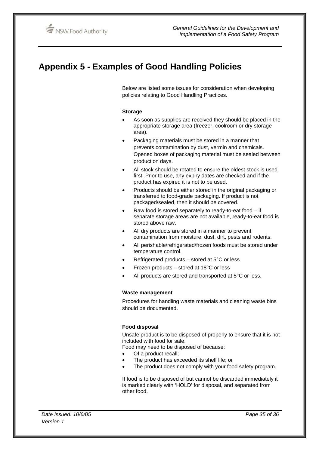# **Appendix 5 - Examples of Good Handling Policies**

Below are listed some issues for consideration when developing policies relating to Good Handling Practices.

#### **Storage**

- As soon as supplies are received they should be placed in the appropriate storage area (freezer, coolroom or dry storage area).
- Packaging materials must be stored in a manner that prevents contamination by dust, vermin and chemicals. Opened boxes of packaging material must be sealed between production days.
- All stock should be rotated to ensure the oldest stock is used first. Prior to use, any expiry dates are checked and if the product has expired it is not to be used.
- Products should be either stored in the original packaging or transferred to food-grade packaging. If product is not packaged/sealed, then it should be covered.
- Raw food is stored separately to ready-to-eat food  $-$  if separate storage areas are not available, ready-to-eat food is stored above raw.
- All dry products are stored in a manner to prevent contamination from moisture, dust, dirt, pests and rodents.
- All perishable/refrigerated/frozen foods must be stored under temperature control.
- Refrigerated products stored at  $5^{\circ}$ C or less
- Frozen products stored at  $18^{\circ}$ C or less
- All products are stored and transported at 5°C or less.

#### **Waste management**

Procedures for handling waste materials and cleaning waste bins should be documented.

#### **Food disposal**

Unsafe product is to be disposed of properly to ensure that it is not included with food for sale.

Food may need to be disposed of because:

- Of a product recall;
- The product has exceeded its shelf life; or
- The product does not comply with your food safety program.

If food is to be disposed of but cannot be discarded immediately it is marked clearly with 'HOLD' for disposal, and separated from other food.